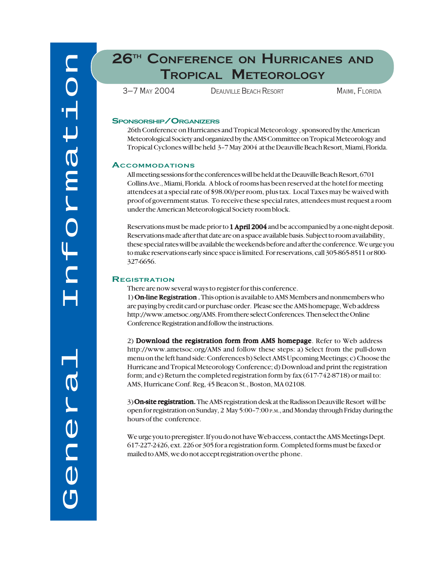# **26TH CONFERENCE ON HURRICANES AND TROPICAL METEOROLOGY**

3–7 MAY 2004 DEAUVILLE BEACH RESORT MAIMI, FLORIDA

## **SPONSORSHIP/ORGANIZERS**

26th Conference on Hurricanes and Tropical Meteorology , sponsored by the American Meteorological Society and organized by the AMS Committee on Tropical Meteorology and Tropical Cyclones will be held 3–7 May 2004 at the Deauville Beach Resort, Miami, Florida.

# **ACCOMMODATIONS**

All meeting sessions for the conferences will be held at the Deauville Beach Resort, 6701 Collins Ave., Miami, Florida. A block of rooms has been reserved at the hotel for meeting attendees at a special rate of \$98.00/per room, plus tax. Local Taxes may be waived with proof of government status. To receive these special rates, attendees must request a room under the American Meteorological Society room block.

Reservations must be made prior to 1 April 2004 and be accompanied by a one-night deposit. Reservations made after that date are on a space available basis. Subject to room availability, these special rates will be available the weekends before and after the conference. We urge you to make reservations early since space is limited. For reservations, call 305-865-8511 or 800- 327-6656.

## **REGISTRATION**

There are now several ways to register for this conference.

1) On-line Registration . This option is available to AMS Members and nonmembers who are paying by credit card or purchase order. Please see the AMS homepage, Web address http://www.ametsoc.org/AMS. From there select Conferences. Then select the Online Conference Registration and follow the instructions.

2) Download the registration form from AMS homepage. Refer to Web address http://www.ametsoc.org/AMS and follow these steps: a) Select from the pull-down menu on the left hand side: Conferences b) Select AMS Upcoming Meetings; c) Choose the Hurricane and Tropical Meteorology Conference; d) Download and print the registration form; and e) Return the completed registration form by fax (617-742-8718) or mail to: AMS, Hurricane Conf. Reg, 45 Beacon St., Boston, MA 02108.

3) On-site registration. The AMS registration desk at the Radisson Deauville Resort will be open for registration on Sunday, 2 May 5:00–7:00 P.M., and Monday through Friday during the hours of the conference.

We urge you to preregister. If you do not have Web access, contact the AMS Meetings Dept. 617-227-2426, ext. 226 or 305 for a registration form. Completed forms must be faxed or mailed to AMS, we do not accept registration over the phone.